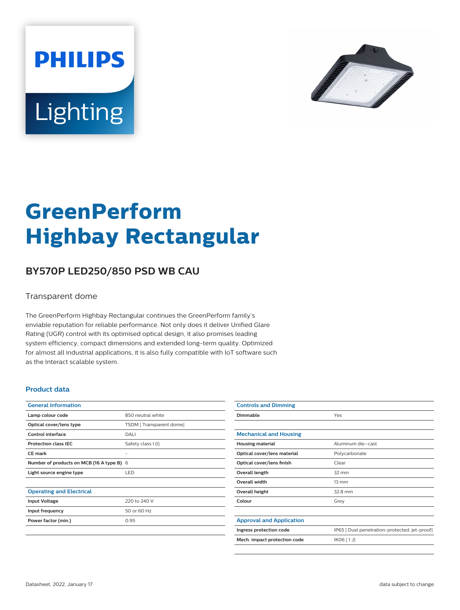



# **GreenPerform Highbay Rectangular**

## **BY570P LED250/850 PSD WB CAU**

#### Transparent dome

The GreenPerform Highbay Rectangular continues the GreenPerform family's enviable reputation for reliable performance. Not only does it deliver Unified Glare Rating (UGR) control with its optimised optical design, it also promises leading system efficiency, compact dimensions and extended long-term quality. Optimized for almost all industrial applications, it is also fully compatible with IoT software such as the Interact scalable system.

#### **Product data**

| <b>General Information</b>                |                         |
|-------------------------------------------|-------------------------|
| Lamp colour code                          | 850 neutral white       |
| Optical cover/lens type                   | TSDM [Transparent dome] |
| Control interface                         | DALI                    |
| <b>Protection class IEC</b>               | Safety class I (I)      |
| <b>CE</b> mark                            |                         |
| Number of products on MCB (16 A type B) 6 |                         |
| Light source engine type                  | <b>LED</b>              |
|                                           |                         |
| <b>Operating and Electrical</b>           |                         |
| <b>Input Voltage</b>                      | 220 to 240 V            |
| Input frequency                           | 50 or 60 Hz             |
| Power factor (min.)                       | 0.95                    |
|                                           |                         |

| <b>Controls and Dimming</b>     |                                               |
|---------------------------------|-----------------------------------------------|
| Dimmable                        | Yes                                           |
|                                 |                                               |
| <b>Mechanical and Housing</b>   |                                               |
| <b>Housing material</b>         | Aluminum die-cast                             |
| Optical cover/lens material     | Polycarbonate                                 |
| Optical cover/lens finish       | Clear                                         |
| Overall length                  | $32 \text{ mm}$                               |
| <b>Overall width</b>            | $13 \, \text{mm}$                             |
| Overall height                  | 32.8 mm                                       |
| Colour                          | Grey                                          |
|                                 |                                               |
| <b>Approval and Application</b> |                                               |
| Ingress protection code         | IP65 [ Dust penetration-protected, jet-proof] |
| Mech. impact protection code    | IK06 [1J]                                     |
|                                 |                                               |